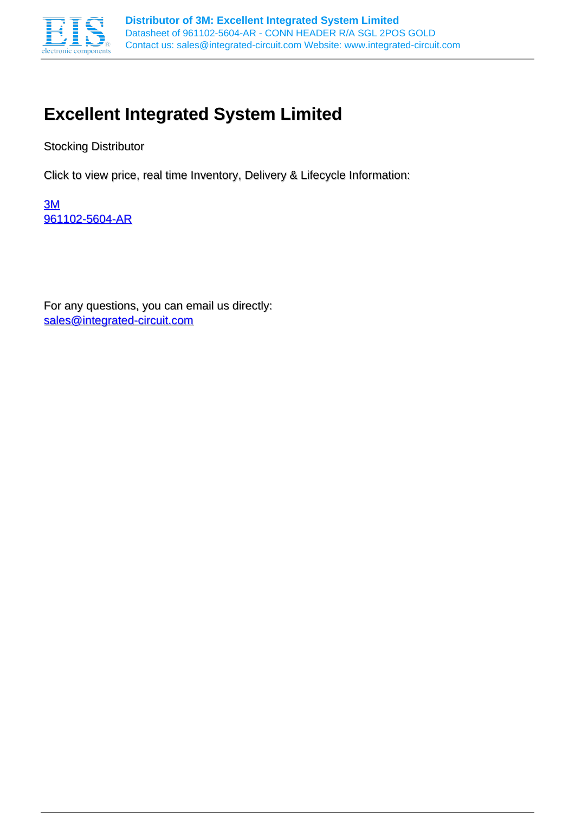

## **Excellent Integrated System Limited**

Stocking Distributor

Click to view price, real time Inventory, Delivery & Lifecycle Information:

[3M](http://www.integrated-circuit.com/manufacturers/3m.html) [961102-5604-AR](http://www.integrated-circuit.com/tag/961102-5604-AR.html)

For any questions, you can email us directly: [sales@integrated-circuit.com](mailto:sales@integrated-circuit.com)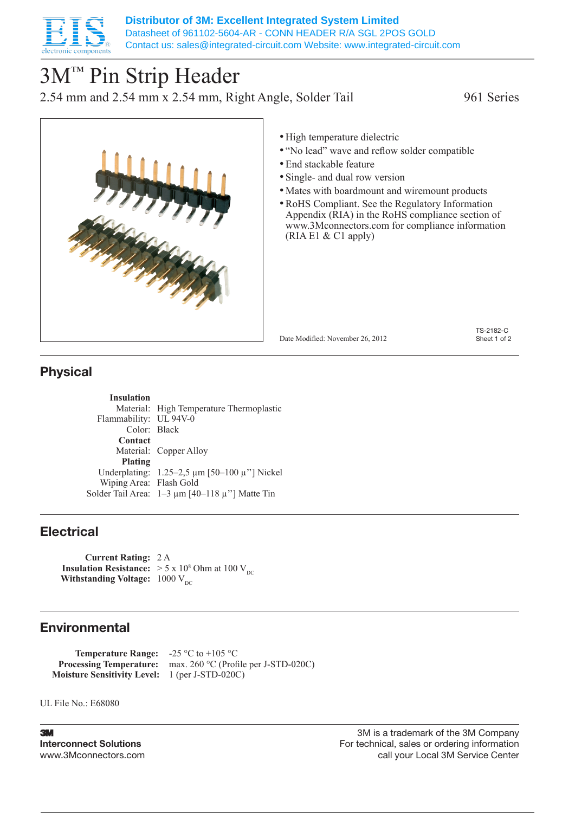

# 3M™ Pin Strip Header

2.54 mm and 2.54 mm x 2.54 mm, Right Angle, Solder Tail 961 Series



- High temperature dielectric
- "No lead" wave and reflow solder compatible
- • End stackable feature
- Single- and dual row version
- Mates with boardmount and wiremount products
- •RoHS Compliant. See the Regulatory Information Appendix (RIA) in the RoHS compliance section of www.3Mconnectors.com for compliance information (RIA E1 & C1 apply)

Date Modified: November 26, 2012

TS-2182-C Sheet 1 of 2

### Physical

**Insulation** Material: High Temperature Thermoplastic Flammability: UL 94V-0 Color: Black **Contact** Material: Copper Alloy **Plating** Underplating: 1.25–2,5 µm [50–100 µ''] Nickel Wiping Area: Flash Gold Solder Tail Area:  $1-3 \mu m$  [40–118  $\mu$ "] Matte Tin

### **Electrical**

**Current Rating:** 2 A **Insulation Resistance:**  $> 5 \times 10^8$  Ohm at 100 V<sub>DC</sub> **Withstanding Voltage:**  $1000 \text{ V}_{\text{DC}}$ 

### Environmental

**Temperature Range:** -25 °C to +105 °C **Processing Temperature:** max. 260 °C (Profile per J-STD-020C) **Moisture Sensitivity Level:** 1 (per J-STD-020C)

UL File No.: E68080

**3M** Interconnect Solutions www.3Mconnectors.com

3M is a trademark of the 3M Company For technical, sales or ordering information call your Local 3M Service Center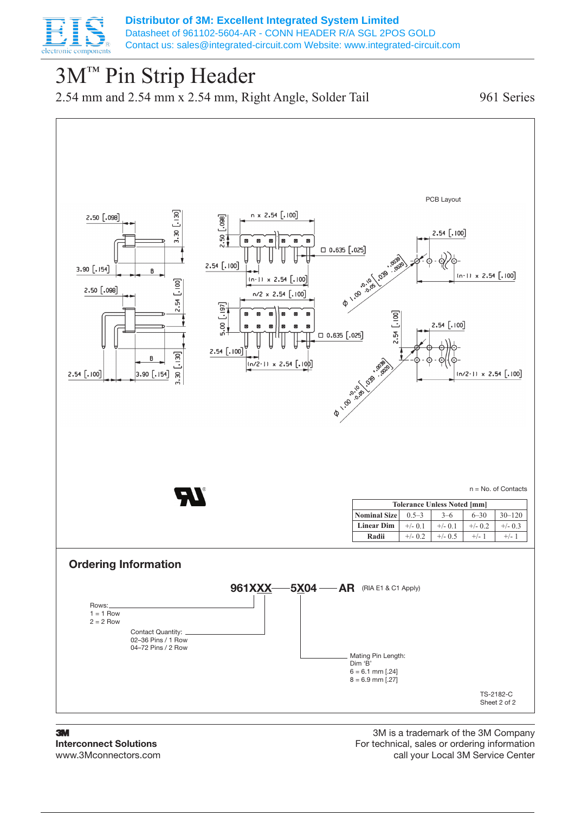

## 3M™ Pin Strip Header

2.54 mm and 2.54 mm x 2.54 mm, Right Angle, Solder Tail 961 Series



3M Interconnect Solutions www.3Mconnectors.com

3M is a trademark of the 3M Company For technical, sales or ordering information call your Local 3M Service Center